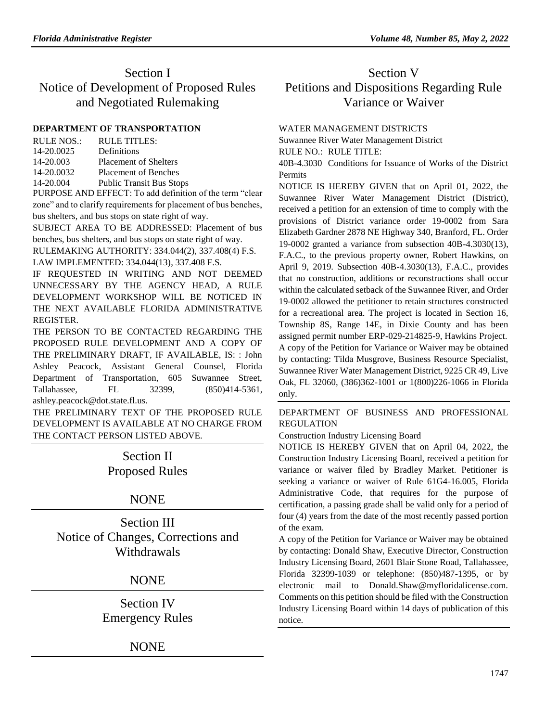# Section I Notice of Development of Proposed Rules and Negotiated Rulemaking

## **[DEPARTMENT OF TRANSPORTATION](https://www.flrules.org/gateway/department.asp?id=14)**

| RULE NOS.: | RULE TITLES:                               |
|------------|--------------------------------------------|
| 14-20.0025 | Definitions                                |
| 14-20.003  | <b>Placement of Shelters</b>               |
| 14-20.0032 | <b>Placement of Benches</b>                |
| 14-20.004  | <b>Public Transit Bus Stops</b>            |
|            | $\mathbf{D}$ UDOCE AND EFFECT T. 111 $\mu$ |

PURPOSE AND EFFECT: To add definition of the term "clear zone" and to clarify requirements for placement of bus benches, bus shelters, and bus stops on state right of way.

SUBJECT AREA TO BE ADDRESSED: Placement of bus benches, bus shelters, and bus stops on state right of way.

RULEMAKING AUTHORITY: [334.044\(2\),](https://www.flrules.org/gateway/statute.asp?id=334.044(2)) [337.408\(4\) F.S.](https://www.flrules.org/gateway/statute.asp?id=%20337.408(4)%20F.S.) LAW IMPLEMENTED: [334.044\(13\),](https://www.flrules.org/gateway/statute.asp?id=334.044(13)) [337.408 F.S.](https://www.flrules.org/gateway/statute.asp?id=%20337.408%20F.S.)

IF REQUESTED IN WRITING AND NOT DEEMED UNNECESSARY BY THE AGENCY HEAD, A RULE DEVELOPMENT WORKSHOP WILL BE NOTICED IN THE NEXT AVAILABLE FLORIDA ADMINISTRATIVE REGISTER.

THE PERSON TO BE CONTACTED REGARDING THE PROPOSED RULE DEVELOPMENT AND A COPY OF THE PRELIMINARY DRAFT, IF AVAILABLE, IS: : John Ashley Peacock, Assistant General Counsel, Florida Department of Transportation, 605 Suwannee Street, Tallahassee, FL 32399, (850)414-5361, ashley.peacock@dot.state.fl.us.

THE PRELIMINARY TEXT OF THE PROPOSED RULE DEVELOPMENT IS AVAILABLE AT NO CHARGE FROM THE CONTACT PERSON LISTED ABOVE.

> Section II Proposed Rules

# NONE

Section III Notice of Changes, Corrections and **Withdrawals** 

# NONE

Section IV Emergency Rules

# NONE

# Section V Petitions and Dispositions Regarding Rule Variance or Waiver

## [WATER MANAGEMENT DISTRICTS](https://www.flrules.org/gateway/department.asp?id=40)

[Suwannee River Water Management District](https://www.flrules.org/gateway/organization.asp?id=121)

RULE NO.: RULE TITLE:

[40B-4.3030](https://www.flrules.org/gateway/ruleNo.asp?id=40B-4.3030) Conditions for Issuance of Works of the District Permits

NOTICE IS HEREBY GIVEN that on April 01, 2022, the Suwannee River Water Management District (District), received a petition for an extension of time to comply with the provisions of District variance order 19-0002 from Sara Elizabeth Gardner 2878 NE Highway 340, Branford, FL. Order 19-0002 granted a variance from subsection 40B-4.3030(13), F.A.C., to the previous property owner, Robert Hawkins, on April 9, 2019. Subsection 40B-4.3030(13), F.A.C., provides that no construction, additions or reconstructions shall occur within the calculated setback of the Suwannee River, and Order 19-0002 allowed the petitioner to retain structures constructed for a recreational area. The project is located in Section 16, Township 8S, Range 14E, in Dixie County and has been assigned permit number ERP-029-214825-9, Hawkins Project. A copy of the Petition for Variance or Waiver may be obtained by contacting: Tilda Musgrove, Business Resource Specialist, Suwannee River Water Management District, 9225 CR 49, Live Oak, FL 32060, (386)362-1001 or 1(800)226-1066 in Florida only.

[DEPARTMENT OF BUSINESS AND PROFESSIONAL](https://www.flrules.org/gateway/department.asp?id=61)  [REGULATION](https://www.flrules.org/gateway/department.asp?id=61)

[Construction Industry Licensing Board](https://www.flrules.org/gateway/organization.asp?id=274)

NOTICE IS HEREBY GIVEN that on April 04, 2022, the Construction Industry Licensing Board, received a petition for variance or waiver filed by Bradley Market. Petitioner is seeking a variance or waiver of Rule 61G4-16.005, Florida Administrative Code, that requires for the purpose of certification, a passing grade shall be valid only for a period of four (4) years from the date of the most recently passed portion of the exam.

A copy of the Petition for Variance or Waiver may be obtained by contacting: Donald Shaw, Executive Director, Construction Industry Licensing Board, 2601 Blair Stone Road, Tallahassee, Florida 32399-1039 or telephone: (850)487-1395, or by electronic mail to Donald.Shaw@myfloridalicense.com. Comments on this petition should be filed with the Construction Industry Licensing Board within 14 days of publication of this notice.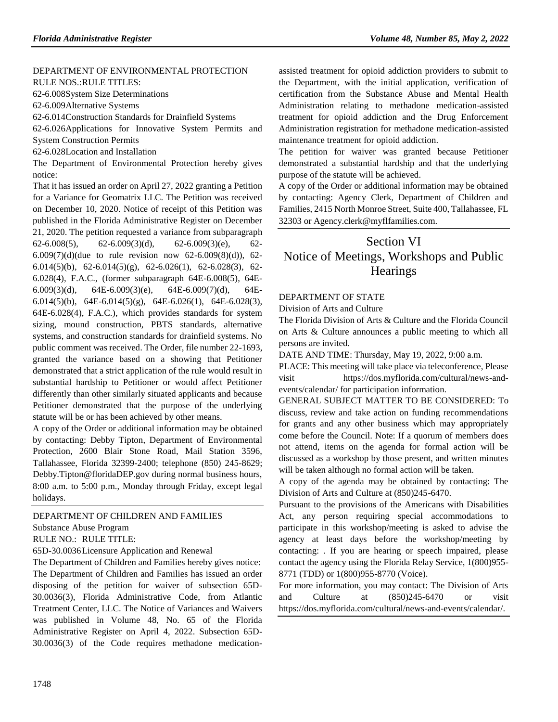#### [DEPARTMENT OF ENVIRONMENTAL PROTECTION](https://www.flrules.org/gateway/department.asp?id=62) RULE NOS.:RULE TITLES:

[62-6.008S](https://www.flrules.org/gateway/ruleNo.asp?id=62-6.008)ystem Size Determinations

[62-6.009A](https://www.flrules.org/gateway/ruleNo.asp?id=62-6.009)lternative Systems

[62-6.014C](https://www.flrules.org/gateway/ruleNo.asp?id=62-6.014)onstruction Standards for Drainfield Systems

[62-6.026A](https://www.flrules.org/gateway/ruleNo.asp?id=62-6.026)pplications for Innovative System Permits and System Construction Permits

[62-6.028L](https://www.flrules.org/gateway/ruleNo.asp?id=62-6.028)ocation and Installation

The Department of Environmental Protection hereby gives notice:

That it has issued an order on April 27, 2022 granting a Petition for a Variance for Geomatrix LLC. The Petition was received on December 10, 2020. Notice of receipt of this Petition was published in the Florida Administrative Register on December 21, 2020. The petition requested a variance from subparagraph 62-6.008(5), 62-6.009(3)(d), 62-6.009(3)(e), 62-6.009(7)(d)(due to rule revision now 62-6.009(8)(d)), 62- 6.014(5)(b), 62-6.014(5)(g), 62-6.026(1), 62-6.028(3), 62- 6.028(4), F.A.C., (former subparagraph 64E-6.008(5), 64E-6.009(3)(d), 64E-6.009(3)(e), 64E-6.009(7)(d), 64E-6.014(5)(b), 64E-6.014(5)(g), 64E-6.026(1), 64E-6.028(3), 64E-6.028(4), F.A.C.), which provides standards for system sizing, mound construction, PBTS standards, alternative systems, and construction standards for drainfield systems. No public comment was received. The Order, file number 22-1693, granted the variance based on a showing that Petitioner demonstrated that a strict application of the rule would result in substantial hardship to Petitioner or would affect Petitioner differently than other similarly situated applicants and because Petitioner demonstrated that the purpose of the underlying statute will be or has been achieved by other means.

A copy of the Order or additional information may be obtained by contacting: Debby Tipton, Department of Environmental Protection, 2600 Blair Stone Road, Mail Station 3596, Tallahassee, Florida 32399-2400; telephone (850) 245-8629; Debby.Tipton@floridaDEP.gov during normal business hours, 8:00 a.m. to 5:00 p.m., Monday through Friday, except legal holidays.

### [DEPARTMENT OF CHILDREN AND FAMILIES](https://www.flrules.org/gateway/department.asp?id=65) [Substance Abuse Program](https://www.flrules.org/gateway/organization.asp?id=343)

RULE NO.: RULE TITLE:

[65D-30.0036L](https://www.flrules.org/gateway/ruleNo.asp?id=65D-30.0036)icensure Application and Renewal

The Department of Children and Families hereby gives notice: The Department of Children and Families has issued an order disposing of the petition for waiver of subsection 65D-30.0036(3), Florida Administrative Code, from Atlantic Treatment Center, LLC. The Notice of Variances and Waivers was published in Volume 48, No. 65 of the Florida Administrative Register on April 4, 2022. Subsection 65D-30.0036(3) of the Code requires methadone medicationassisted treatment for opioid addiction providers to submit to the Department, with the initial application, verification of certification from the Substance Abuse and Mental Health Administration relating to methadone medication-assisted treatment for opioid addiction and the Drug Enforcement Administration registration for methadone medication-assisted maintenance treatment for opioid addiction.

The petition for waiver was granted because Petitioner demonstrated a substantial hardship and that the underlying purpose of the statute will be achieved.

A copy of the Order or additional information may be obtained by contacting: Agency Clerk, Department of Children and Families, 2415 North Monroe Street, Suite 400, Tallahassee, FL 32303 or Agency.clerk@myflfamilies.com.

# Section VI

# Notice of Meetings, Workshops and Public **Hearings**

### [DEPARTMENT OF STATE](https://www.flrules.org/gateway/department.asp?id=1)

[Division of Arts and Culture](https://www.flrules.org/gateway/organization.asp?id=17)

The Florida Division of Arts & Culture and the Florida Council on Arts & Culture announces a public meeting to which all persons are invited.

DATE AND TIME: Thursday, May 19, 2022, 9:00 a.m.

PLACE: This meeting will take place via teleconference, Please visit https://dos.myflorida.com/cultural/news-andevents/calendar/ for participation information.

GENERAL SUBJECT MATTER TO BE CONSIDERED: To discuss, review and take action on funding recommendations for grants and any other business which may appropriately come before the Council. Note: If a quorum of members does not attend, items on the agenda for formal action will be discussed as a workshop by those present, and written minutes will be taken although no formal action will be taken.

A copy of the agenda may be obtained by contacting: The Division of Arts and Culture at (850)245-6470.

Pursuant to the provisions of the Americans with Disabilities Act, any person requiring special accommodations to participate in this workshop/meeting is asked to advise the agency at least days before the workshop/meeting by contacting: . If you are hearing or speech impaired, please contact the agency using the Florida Relay Service, 1(800)955- 8771 (TDD) or 1(800)955-8770 (Voice).

For more information, you may contact: The Division of Arts and Culture at (850)245-6470 or visit https://dos.myflorida.com/cultural/news-and-events/calendar/.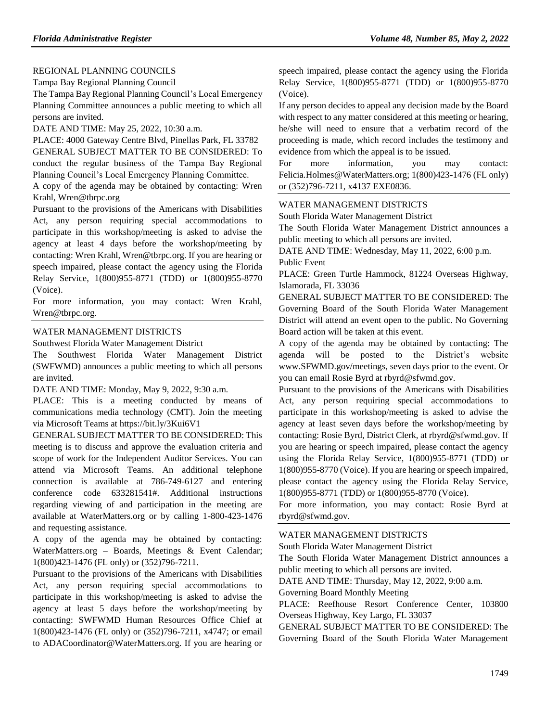### [REGIONAL PLANNING COUNCILS](https://www.flrules.org/gateway/department.asp?id=29)

[Tampa Bay Regional Planning Council](https://www.flrules.org/gateway/organization.asp?id=64)

The Tampa Bay Regional Planning Council's Local Emergency Planning Committee announces a public meeting to which all persons are invited.

DATE AND TIME: May 25, 2022, 10:30 a.m.

PLACE: 4000 Gateway Centre Blvd, Pinellas Park, FL 33782 GENERAL SUBJECT MATTER TO BE CONSIDERED: To conduct the regular business of the Tampa Bay Regional Planning Council's Local Emergency Planning Committee.

A copy of the agenda may be obtained by contacting: Wren Krahl, Wren@tbrpc.org

Pursuant to the provisions of the Americans with Disabilities Act, any person requiring special accommodations to participate in this workshop/meeting is asked to advise the agency at least 4 days before the workshop/meeting by contacting: Wren Krahl, Wren@tbrpc.org. If you are hearing or speech impaired, please contact the agency using the Florida Relay Service, 1(800)955-8771 (TDD) or 1(800)955-8770 (Voice).

For more information, you may contact: Wren Krahl, Wren@tbrpc.org.

## [WATER MANAGEMENT DISTRICTS](https://www.flrules.org/gateway/department.asp?id=40)

[Southwest Florida Water Management District](https://www.flrules.org/gateway/organization.asp?id=123)

The Southwest Florida Water Management District (SWFWMD) announces a public meeting to which all persons are invited.

DATE AND TIME: Monday, May 9, 2022, 9:30 a.m.

PLACE: This is a meeting conducted by means of communications media technology (CMT). Join the meeting via Microsoft Teams at https://bit.ly/3Kui6V1

GENERAL SUBJECT MATTER TO BE CONSIDERED: This meeting is to discuss and approve the evaluation criteria and scope of work for the Independent Auditor Services. You can attend via Microsoft Teams. An additional telephone connection is available at 786-749-6127 and entering conference code 633281541#. Additional instructions regarding viewing of and participation in the meeting are available at WaterMatters.org or by calling 1-800-423-1476 and requesting assistance.

A copy of the agenda may be obtained by contacting: WaterMatters.org – Boards, Meetings & Event Calendar; 1(800)423-1476 (FL only) or (352)796-7211.

Pursuant to the provisions of the Americans with Disabilities Act, any person requiring special accommodations to participate in this workshop/meeting is asked to advise the agency at least 5 days before the workshop/meeting by contacting: SWFWMD Human Resources Office Chief at 1(800)423-1476 (FL only) or (352)796-7211, x4747; or email to ADACoordinator@WaterMatters.org. If you are hearing or

speech impaired, please contact the agency using the Florida Relay Service, 1(800)955-8771 (TDD) or 1(800)955-8770 (Voice).

If any person decides to appeal any decision made by the Board with respect to any matter considered at this meeting or hearing, he/she will need to ensure that a verbatim record of the proceeding is made, which record includes the testimony and evidence from which the appeal is to be issued.

For more information, you may contact: Felicia.Holmes@WaterMatters.org; 1(800)423-1476 (FL only) or (352)796-7211, x4137 EXE0836.

#### [WATER MANAGEMENT DISTRICTS](https://www.flrules.org/gateway/department.asp?id=40)

[South Florida Water Management District](https://www.flrules.org/gateway/organization.asp?id=124)

The South Florida Water Management District announces a public meeting to which all persons are invited.

DATE AND TIME: Wednesday, May 11, 2022, 6:00 p.m. Public Event

PLACE: Green Turtle Hammock, 81224 Overseas Highway, Islamorada, FL 33036

GENERAL SUBJECT MATTER TO BE CONSIDERED: The Governing Board of the South Florida Water Management District will attend an event open to the public. No Governing Board action will be taken at this event.

A copy of the agenda may be obtained by contacting: The agenda will be posted to the District's website www.SFWMD.gov/meetings, seven days prior to the event. Or you can email Rosie Byrd at rbyrd@sfwmd.gov.

Pursuant to the provisions of the Americans with Disabilities Act, any person requiring special accommodations to participate in this workshop/meeting is asked to advise the agency at least seven days before the workshop/meeting by contacting: Rosie Byrd, District Clerk, at rbyrd@sfwmd.gov. If you are hearing or speech impaired, please contact the agency using the Florida Relay Service, 1(800)955-8771 (TDD) or 1(800)955-8770 (Voice). If you are hearing or speech impaired, please contact the agency using the Florida Relay Service, 1(800)955-8771 (TDD) or 1(800)955-8770 (Voice).

For more information, you may contact: Rosie Byrd at rbyrd@sfwmd.gov.

#### [WATER MANAGEMENT DISTRICTS](https://www.flrules.org/gateway/department.asp?id=40)

[South Florida Water Management District](https://www.flrules.org/gateway/organization.asp?id=124)

The South Florida Water Management District announces a public meeting to which all persons are invited.

DATE AND TIME: Thursday, May 12, 2022, 9:00 a.m.

Governing Board Monthly Meeting

PLACE: Reefhouse Resort Conference Center, 103800 Overseas Highway, Key Largo, FL 33037

GENERAL SUBJECT MATTER TO BE CONSIDERED: The Governing Board of the South Florida Water Management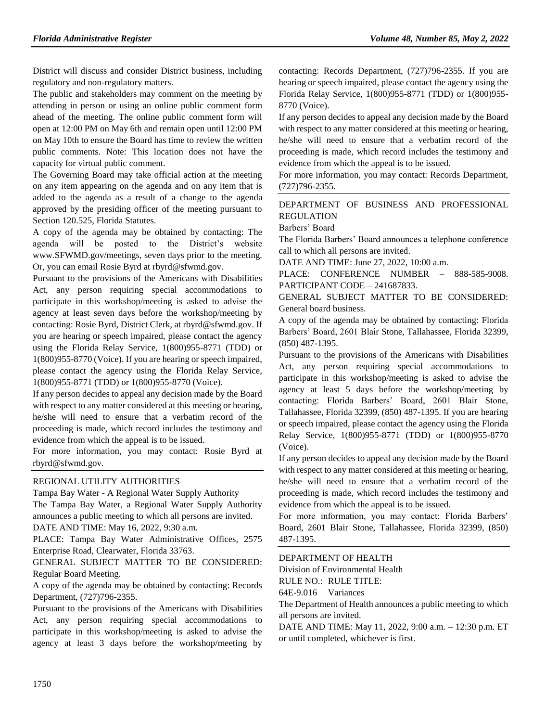District will discuss and consider District business, including regulatory and non-regulatory matters.

The public and stakeholders may comment on the meeting by attending in person or using an online public comment form ahead of the meeting. The online public comment form will open at 12:00 PM on May 6th and remain open until 12:00 PM on May 10th to ensure the Board has time to review the written public comments. Note: This location does not have the capacity for virtual public comment.

The Governing Board may take official action at the meeting on any item appearing on the agenda and on any item that is added to the agenda as a result of a change to the agenda approved by the presiding officer of the meeting pursuant to Section 120.525, Florida Statutes.

A copy of the agenda may be obtained by contacting: The agenda will be posted to the District's website www.SFWMD.gov/meetings, seven days prior to the meeting. Or, you can email Rosie Byrd at rbyrd@sfwmd.gov.

Pursuant to the provisions of the Americans with Disabilities Act, any person requiring special accommodations to participate in this workshop/meeting is asked to advise the agency at least seven days before the workshop/meeting by contacting: Rosie Byrd, District Clerk, at rbyrd@sfwmd.gov. If you are hearing or speech impaired, please contact the agency using the Florida Relay Service, 1(800)955-8771 (TDD) or 1(800)955-8770 (Voice). If you are hearing or speech impaired, please contact the agency using the Florida Relay Service, 1(800)955-8771 (TDD) or 1(800)955-8770 (Voice).

If any person decides to appeal any decision made by the Board with respect to any matter considered at this meeting or hearing, he/she will need to ensure that a verbatim record of the proceeding is made, which record includes the testimony and evidence from which the appeal is to be issued.

For more information, you may contact: Rosie Byrd at rbyrd@sfwmd.gov.

### [REGIONAL UTILITY AUTHORITIES](https://www.flrules.org/gateway/department.asp?id=49)

Tampa Bay Water - [A Regional Water Supply Authority](https://www.flrules.org/gateway/organization.asp?id=158) The Tampa Bay Water, a Regional Water Supply Authority announces a public meeting to which all persons are invited. DATE AND TIME: May 16, 2022, 9:30 a.m.

PLACE: Tampa Bay Water Administrative Offices, 2575 Enterprise Road, Clearwater, Florida 33763.

GENERAL SUBJECT MATTER TO BE CONSIDERED: Regular Board Meeting.

A copy of the agenda may be obtained by contacting: Records Department, (727)796-2355.

Pursuant to the provisions of the Americans with Disabilities Act, any person requiring special accommodations to participate in this workshop/meeting is asked to advise the agency at least 3 days before the workshop/meeting by contacting: Records Department, (727)796-2355. If you are hearing or speech impaired, please contact the agency using the Florida Relay Service, 1(800)955-8771 (TDD) or 1(800)955- 8770 (Voice).

If any person decides to appeal any decision made by the Board with respect to any matter considered at this meeting or hearing, he/she will need to ensure that a verbatim record of the proceeding is made, which record includes the testimony and evidence from which the appeal is to be issued.

For more information, you may contact: Records Department, (727)796-2355.

### [DEPARTMENT OF BUSINESS AND PROFESSIONAL](https://www.flrules.org/gateway/department.asp?id=61)  [REGULATION](https://www.flrules.org/gateway/department.asp?id=61)

[Barbers' Board](https://www.flrules.org/gateway/organization.asp?id=273)

The Florida Barbers' Board announces a telephone conference call to which all persons are invited.

DATE AND TIME: June 27, 2022, 10:00 a.m.

PLACE: CONFERENCE NUMBER – 888-585-9008. PARTICIPANT CODE – 241687833.

GENERAL SUBJECT MATTER TO BE CONSIDERED: General board business.

A copy of the agenda may be obtained by contacting: Florida Barbers' Board, 2601 Blair Stone, Tallahassee, Florida 32399, (850) 487-1395.

Pursuant to the provisions of the Americans with Disabilities Act, any person requiring special accommodations to participate in this workshop/meeting is asked to advise the agency at least 5 days before the workshop/meeting by contacting: Florida Barbers' Board, 2601 Blair Stone, Tallahassee, Florida 32399, (850) 487-1395. If you are hearing or speech impaired, please contact the agency using the Florida Relay Service, 1(800)955-8771 (TDD) or 1(800)955-8770 (Voice).

If any person decides to appeal any decision made by the Board with respect to any matter considered at this meeting or hearing, he/she will need to ensure that a verbatim record of the proceeding is made, which record includes the testimony and evidence from which the appeal is to be issued.

For more information, you may contact: Florida Barbers' Board, 2601 Blair Stone, Tallahassee, Florida 32399, (850) 487-1395.

### [DEPARTMENT OF HEALTH](https://www.flrules.org/gateway/department.asp?id=64)

[Division of Environmental Health](https://www.flrules.org/gateway/organization.asp?id=335)

RULE NO.: RULE TITLE:

[64E-9.016](https://www.flrules.org/gateway/ruleNo.asp?id=64E-9.016) Variances

The Department of Health announces a public meeting to which all persons are invited.

DATE AND TIME: May 11, 2022, 9:00 a.m. – 12:30 p.m. ET or until completed, whichever is first.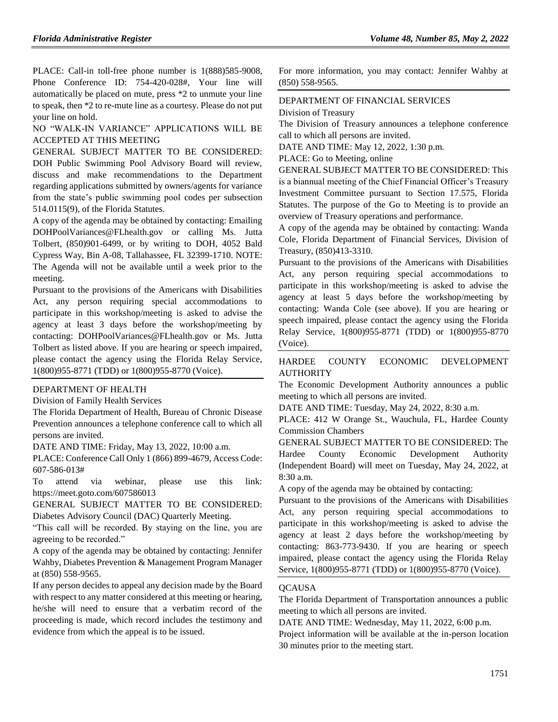PLACE: Call-in toll-free phone number is 1(888)585-9008, Phone Conference ID: 754-420-028#, Your line will automatically be placed on mute, press \*2 to unmute your line to speak, then \*2 to re-mute line as a courtesy. Please do not put your line on hold.

## NO "WALK-IN VARIANCE" APPLICATIONS WILL BE ACCEPTED AT THIS MEETING

GENERAL SUBJECT MATTER TO BE CONSIDERED: DOH Public Swimming Pool Advisory Board will review, discuss and make recommendations to the Department regarding applications submitted by owners/agents for variance from the state's public swimming pool codes per subsection 514.0115(9), of the Florida Statutes.

A copy of the agenda may be obtained by contacting: Emailing DOHPoolVariances@FLhealth.gov or calling Ms. Jutta Tolbert, (850)901-6499, or by writing to DOH, 4052 Bald Cypress Way, Bin A-08, Tallahassee, FL 32399-1710. NOTE: The Agenda will not be available until a week prior to the meeting.

Pursuant to the provisions of the Americans with Disabilities Act, any person requiring special accommodations to participate in this workshop/meeting is asked to advise the agency at least 3 days before the workshop/meeting by contacting: DOHPoolVariances@FLhealth.gov or Ms. Jutta Tolbert as listed above. If you are hearing or speech impaired, please contact the agency using the Florida Relay Service, 1(800)955-8771 (TDD) or 1(800)955-8770 (Voice).

#### [DEPARTMENT OF HEALTH](https://www.flrules.org/gateway/department.asp?id=64)

[Division of Family Health Services](https://www.flrules.org/gateway/organization.asp?id=336)

The Florida Department of Health, Bureau of Chronic Disease Prevention announces a telephone conference call to which all persons are invited.

DATE AND TIME: Friday, May 13, 2022, 10:00 a.m.

PLACE: Conference Call Only 1 (866) 899-4679, Access Code: 607-586-013#

To attend via webinar, please use this link: https://meet.goto.com/607586013

GENERAL SUBJECT MATTER TO BE CONSIDERED: Diabetes Advisory Council (DAC) Quarterly Meeting.

"This call will be recorded. By staying on the line, you are agreeing to be recorded."

A copy of the agenda may be obtained by contacting: Jennifer Wahby, Diabetes Prevention & Management Program Manager at (850) 558-9565.

If any person decides to appeal any decision made by the Board with respect to any matter considered at this meeting or hearing, he/she will need to ensure that a verbatim record of the proceeding is made, which record includes the testimony and evidence from which the appeal is to be issued.

For more information, you may contact: Jennifer Wahby at (850) 558-9565.

## [DEPARTMENT OF FINANCIAL SERVICES](https://www.flrules.org/gateway/department.asp?id=69) [Division of Treasury](https://www.flrules.org/gateway/organization.asp?id=361)

The Division of Treasury announces a telephone conference call to which all persons are invited.

DATE AND TIME: May 12, 2022, 1:30 p.m.

PLACE: Go to Meeting, online

GENERAL SUBJECT MATTER TO BE CONSIDERED: This is a biannual meeting of the Chief Financial Officer's Treasury Investment Committee pursuant to Section 17.575, Florida Statutes. The purpose of the Go to Meeting is to provide an overview of Treasury operations and performance.

A copy of the agenda may be obtained by contacting: Wanda Cole, Florida Department of Financial Services, Division of Treasury, (850)413-3310.

Pursuant to the provisions of the Americans with Disabilities Act, any person requiring special accommodations to participate in this workshop/meeting is asked to advise the agency at least 5 days before the workshop/meeting by contacting: Wanda Cole (see above). If you are hearing or speech impaired, please contact the agency using the Florida Relay Service, 1(800)955-8771 (TDD) or 1(800)955-8770 (Voice).

### [HARDEE COUNTY ECONOMIC DEVELOPMENT](https://www.flrules.org/gateway/organization.asp?id=810)  **[AUTHORITY](https://www.flrules.org/gateway/organization.asp?id=810)**

The Economic Development Authority announces a public meeting to which all persons are invited.

DATE AND TIME: Tuesday, May 24, 2022, 8:30 a.m.

PLACE: 412 W Orange St., Wauchula, FL, Hardee County Commission Chambers

GENERAL SUBJECT MATTER TO BE CONSIDERED: The Hardee County Economic Development Authority (Independent Board) will meet on Tuesday, May 24, 2022, at 8:30 a.m.

A copy of the agenda may be obtained by contacting:

Pursuant to the provisions of the Americans with Disabilities Act, any person requiring special accommodations to participate in this workshop/meeting is asked to advise the agency at least 2 days before the workshop/meeting by contacting: 863-773-9430. If you are hearing or speech impaired, please contact the agency using the Florida Relay Service, 1(800)955-8771 (TDD) or 1(800)955-8770 (Voice).

### **OCAUSA**

The Florida Department of Transportation announces a public meeting to which all persons are invited.

DATE AND TIME: Wednesday, May 11, 2022, 6:00 p.m.

Project information will be available at the in-person location 30 minutes prior to the meeting start.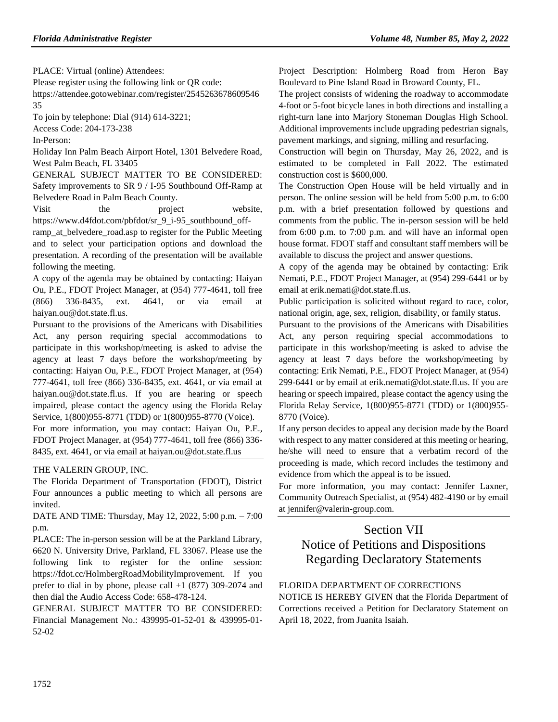PLACE: Virtual (online) Attendees:

Please register using the following link or QR code: https://attendee.gotowebinar.com/register/2545263678609546 35

To join by telephone: Dial (914) 614-3221;

Access Code: 204-173-238

In-Person:

Holiday Inn Palm Beach Airport Hotel, 1301 Belvedere Road, West Palm Beach, FL 33405

GENERAL SUBJECT MATTER TO BE CONSIDERED: Safety improvements to SR 9 / I-95 Southbound Off-Ramp at Belvedere Road in Palm Beach County.

Visit the project website, https://www.d4fdot.com/pbfdot/sr\_9\_i-95\_southbound\_off-

ramp at belvedere road.asp to register for the Public Meeting and to select your participation options and download the presentation. A recording of the presentation will be available following the meeting.

A copy of the agenda may be obtained by contacting: Haiyan Ou, P.E., FDOT Project Manager, at (954) 777-4641, toll free (866) 336-8435, ext. 4641, or via email at haiyan.ou@dot.state.fl.us.

Pursuant to the provisions of the Americans with Disabilities Act, any person requiring special accommodations to participate in this workshop/meeting is asked to advise the agency at least 7 days before the workshop/meeting by contacting: Haiyan Ou, P.E., FDOT Project Manager, at (954) 777-4641, toll free (866) 336-8435, ext. 4641, or via email at haiyan.ou@dot.state.fl.us. If you are hearing or speech impaired, please contact the agency using the Florida Relay Service, 1(800)955-8771 (TDD) or 1(800)955-8770 (Voice).

For more information, you may contact: Haiyan Ou, P.E., FDOT Project Manager, at (954) 777-4641, toll free (866) 336- 8435, ext. 4641, or via email at haiyan.ou@dot.state.fl.us

### [THE VALERIN GROUP, INC.](https://www.flrules.org/gateway/organization.asp?id=1012)

The Florida Department of Transportation (FDOT), District Four announces a public meeting to which all persons are invited.

DATE AND TIME: Thursday, May 12, 2022, 5:00 p.m. – 7:00 p.m.

PLACE: The in-person session will be at the Parkland Library, 6620 N. University Drive, Parkland, FL 33067. Please use the following link to register for the online session: https://fdot.cc/HolmbergRoadMobilityImprovement. If you prefer to dial in by phone, please call +1 (877) 309-2074 and then dial the Audio Access Code: 658-478-124.

GENERAL SUBJECT MATTER TO BE CONSIDERED: Financial Management No.: 439995-01-52-01 & 439995-01- 52-02

Project Description: Holmberg Road from Heron Bay Boulevard to Pine Island Road in Broward County, FL.

The project consists of widening the roadway to accommodate 4-foot or 5-foot bicycle lanes in both directions and installing a right-turn lane into Marjory Stoneman Douglas High School. Additional improvements include upgrading pedestrian signals, pavement markings, and signing, milling and resurfacing.

Construction will begin on Thursday, May 26, 2022, and is estimated to be completed in Fall 2022. The estimated construction cost is \$600,000.

The Construction Open House will be held virtually and in person. The online session will be held from 5:00 p.m. to 6:00 p.m. with a brief presentation followed by questions and comments from the public. The in-person session will be held from 6:00 p.m. to 7:00 p.m. and will have an informal open house format. FDOT staff and consultant staff members will be available to discuss the project and answer questions.

A copy of the agenda may be obtained by contacting: Erik Nemati, P.E., FDOT Project Manager, at (954) 299-6441 or by email at erik.nemati@dot.state.fl.us.

Public participation is solicited without regard to race, color, national origin, age, sex, religion, disability, or family status.

Pursuant to the provisions of the Americans with Disabilities Act, any person requiring special accommodations to participate in this workshop/meeting is asked to advise the agency at least 7 days before the workshop/meeting by contacting: Erik Nemati, P.E., FDOT Project Manager, at (954) 299-6441 or by email at erik.nemati@dot.state.fl.us. If you are hearing or speech impaired, please contact the agency using the Florida Relay Service, 1(800)955-8771 (TDD) or 1(800)955- 8770 (Voice).

If any person decides to appeal any decision made by the Board with respect to any matter considered at this meeting or hearing, he/she will need to ensure that a verbatim record of the proceeding is made, which record includes the testimony and evidence from which the appeal is to be issued.

For more information, you may contact: Jennifer Laxner, Community Outreach Specialist, at (954) 482-4190 or by email at jennifer@valerin-group.com.

# Section VII Notice of Petitions and Dispositions Regarding Declaratory Statements

## FLORIDA DEPARTMENT OF CORRECTIONS

NOTICE IS HEREBY GIVEN that the Florida Department of Corrections received a Petition for Declaratory Statement on April 18, 2022, from Juanita Isaiah.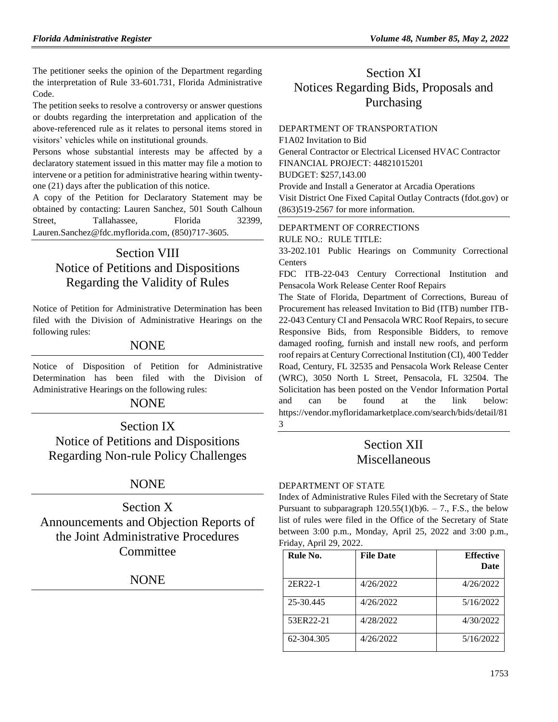The petitioner seeks the opinion of the Department regarding the interpretation of Rule 33-601.731, Florida Administrative Code.

The petition seeks to resolve a controversy or answer questions or doubts regarding the interpretation and application of the above-referenced rule as it relates to personal items stored in visitors' vehicles while on institutional grounds.

Persons whose substantial interests may be affected by a declaratory statement issued in this matter may file a motion to intervene or a petition for administrative hearing within twentyone (21) days after the publication of this notice.

A copy of the Petition for Declaratory Statement may be obtained by contacting: Lauren Sanchez, 501 South Calhoun Street, Tallahassee, Florida 32399, [Lauren.Sanchez@fdc.myflorida.com,](mailto:Lauren.Sanchez@fdc.myflorida.com) (850)717-3605.

# Section VIII Notice of Petitions and Dispositions Regarding the Validity of Rules

Notice of Petition for Administrative Determination has been filed with the Division of Administrative Hearings on the following rules:

# **NONE**

Notice of Disposition of Petition for Administrative Determination has been filed with the Division of Administrative Hearings on the following rules:

## **NONE**

Section IX Notice of Petitions and Dispositions Regarding Non-rule Policy Challenges

# **NONE**

Section X Announcements and Objection Reports of the Joint Administrative Procedures Committee

# NONE

# Section XI Notices Regarding Bids, Proposals and Purchasing

# [DEPARTMENT OF TRANSPORTATION](https://www.flrules.org/gateway/department.asp?id=14) F1A02 Invitation to Bid

General Contractor or Electrical Licensed HVAC Contractor FINANCIAL PROJECT: 44821015201 BUDGET: \$257,143.00 Provide and Install a Generator at Arcadia Operations Visit [District One Fixed Capital Outlay Contracts \(fdot.gov\)](https://www.fdot.gov/contracts/district-offices/d1/lettings/fco-contracts/fco.shtm) or (863)519-2567 for more information.

## [DEPARTMENT OF CORRECTIONS](https://www.flrules.org/gateway/department.asp?id=33)

RULE NO.: RULE TITLE:

[33-202.101](https://www.flrules.org/gateway/ruleNo.asp?id=33-202.101) Public Hearings on Community Correctional **Centers** 

FDC ITB-22-043 Century Correctional Institution and Pensacola Work Release Center Roof Repairs

The State of Florida, Department of Corrections, Bureau of Procurement has released Invitation to Bid (ITB) number ITB-22-043 Century CI and Pensacola WRC Roof Repairs, to secure Responsive Bids, from Responsible Bidders, to remove damaged roofing, furnish and install new roofs, and perform roof repairs at Century Correctional Institution (CI), 400 Tedder Road, Century, FL 32535 and Pensacola Work Release Center (WRC), 3050 North L Street, Pensacola, FL 32504. The Solicitation has been posted on the Vendor Information Portal and can be found at the link below: [https://vendor.myfloridamarketplace.com/search/bids/detail/81](https://vendor.myfloridamarketplace.com/search/bids/detail/813) [3](https://vendor.myfloridamarketplace.com/search/bids/detail/813)

# Section XII Miscellaneous

### [DEPARTMENT OF STATE](https://www.flrules.org/gateway/department.asp?id=1)

Index of Administrative Rules Filed with the Secretary of State Pursuant to subparagraph  $120.55(1)(b)6. - 7$ ., F.S., the below list of rules were filed in the Office of the Secretary of State between 3:00 p.m., Monday, April 25, 2022 and 3:00 p.m., Friday, April 29, 2022.

| Rule No.   | <b>File Date</b> | <b>Effective</b><br><b>Date</b> |
|------------|------------------|---------------------------------|
| 2ER22-1    | 4/26/2022        | 4/26/2022                       |
| 25-30.445  | 4/26/2022        | 5/16/2022                       |
| 53ER22-21  | 4/28/2022        | 4/30/2022                       |
| 62-304.305 | 4/26/2022        | 5/16/2022                       |